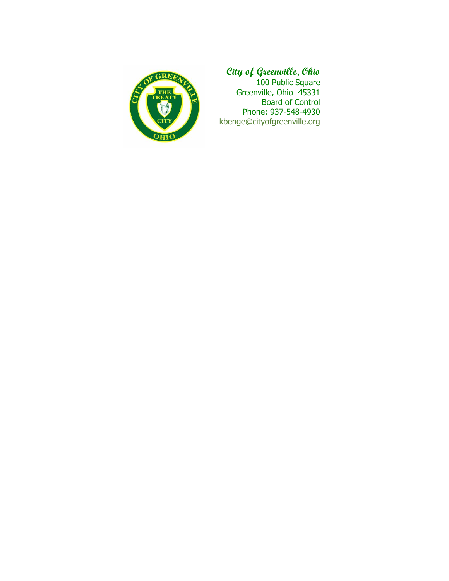

## **City of Greenville, Ohio**

100 Public Square Greenville, Ohio 45331 Board of Control Phone: 937-548-4930 kbenge@cityofgreenville.org